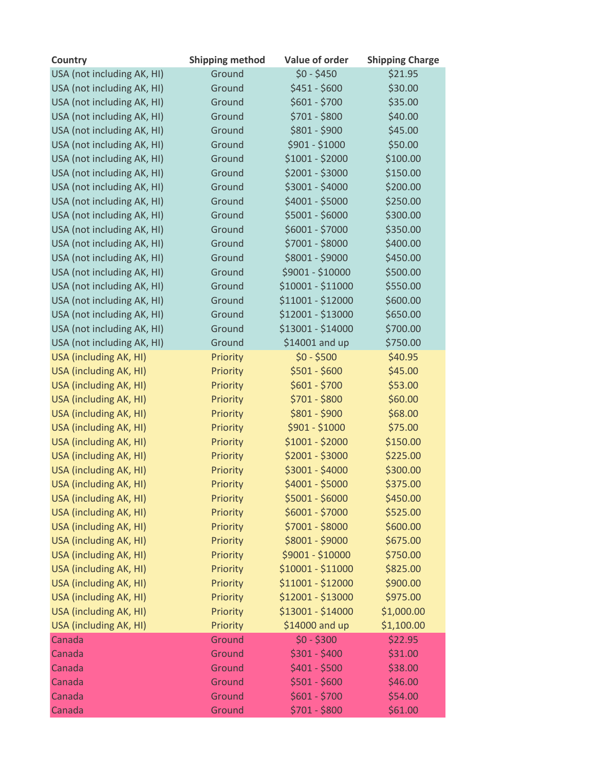| Country                    | <b>Shipping method</b> | Value of order    | <b>Shipping Charge</b> |
|----------------------------|------------------------|-------------------|------------------------|
| USA (not including AK, HI) | Ground                 | $$0 - $450$       | \$21.95                |
| USA (not including AK, HI) | Ground                 | $$451 - $600$     | \$30.00                |
| USA (not including AK, HI) | Ground                 | $$601 - $700$     | \$35.00                |
| USA (not including AK, HI) | Ground                 | \$701 - \$800     | \$40.00                |
| USA (not including AK, HI) | Ground                 | \$801 - \$900     | \$45.00                |
| USA (not including AK, HI) | Ground                 | \$901 - \$1000    | \$50.00                |
| USA (not including AK, HI) | Ground                 | $$1001 - $2000$   | \$100.00               |
| USA (not including AK, HI) | Ground                 | \$2001 - \$3000   | \$150.00               |
| USA (not including AK, HI) | Ground                 | \$3001 - \$4000   | \$200.00               |
| USA (not including AK, HI) | Ground                 | \$4001 - \$5000   | \$250.00               |
| USA (not including AK, HI) | Ground                 | \$5001 - \$6000   | \$300.00               |
| USA (not including AK, HI) | Ground                 | \$6001 - \$7000   | \$350.00               |
| USA (not including AK, HI) | Ground                 | \$7001 - \$8000   | \$400.00               |
| USA (not including AK, HI) | Ground                 | \$8001 - \$9000   | \$450.00               |
| USA (not including AK, HI) | Ground                 | \$9001 - \$10000  | \$500.00               |
| USA (not including AK, HI) | Ground                 | \$10001 - \$11000 | \$550.00               |
| USA (not including AK, HI) | Ground                 | \$11001 - \$12000 | \$600.00               |
| USA (not including AK, HI) | Ground                 | \$12001 - \$13000 | \$650.00               |
| USA (not including AK, HI) | Ground                 | \$13001 - \$14000 | \$700.00               |
| USA (not including AK, HI) | Ground                 | \$14001 and up    | \$750.00               |
| USA (including AK, HI)     | Priority               | $$0 - $500$       | \$40.95                |
| USA (including AK, HI)     | Priority               | $$501 - $600$     | \$45.00                |
| USA (including AK, HI)     | Priority               | $$601 - $700$     | \$53.00                |
| USA (including AK, HI)     | Priority               | \$701 - \$800     | \$60.00                |
| USA (including AK, HI)     | Priority               | $$801 - $900$     | \$68.00                |
| USA (including AK, HI)     | Priority               | \$901 - \$1000    | \$75.00                |
| USA (including AK, HI)     | Priority               | $$1001 - $2000$   | \$150.00               |
| USA (including AK, HI)     | Priority               | $$2001 - $3000$   | \$225.00               |
| USA (including AK, HI)     | Priority               | \$3001 - \$4000   | \$300.00               |
| USA (including AK, HI)     | Priority               | \$4001 - \$5000   | \$375.00               |
| USA (including AK, HI)     | Priority               | $$5001 - $6000$   | \$450.00               |
| USA (including AK, HI)     | Priority               | \$6001 - \$7000   | \$525.00               |
| USA (including AK, HI)     | Priority               | \$7001 - \$8000   | \$600.00               |
| USA (including AK, HI)     | Priority               | \$8001 - \$9000   | \$675.00               |
| USA (including AK, HI)     | Priority               | \$9001 - \$10000  | \$750.00               |
| USA (including AK, HI)     | Priority               | \$10001 - \$11000 | \$825.00               |
| USA (including AK, HI)     | Priority               | \$11001 - \$12000 | \$900.00               |
| USA (including AK, HI)     | Priority               | \$12001 - \$13000 | \$975.00               |
| USA (including AK, HI)     | Priority               | \$13001 - \$14000 | \$1,000.00             |
| USA (including AK, HI)     | Priority               | \$14000 and up    | \$1,100.00             |
| Canada                     | Ground                 | $$0 - $300$       | \$22.95                |
| Canada                     | Ground                 | $$301 - $400$     | \$31.00                |
| Canada                     | Ground                 | $$401 - $500$     | \$38.00                |
| Canada                     | Ground                 | $$501 - $600$     | \$46.00                |
| Canada                     | Ground                 | $$601 - $700$     | \$54.00                |
| Canada                     | Ground                 | \$701 - \$800     | \$61.00                |